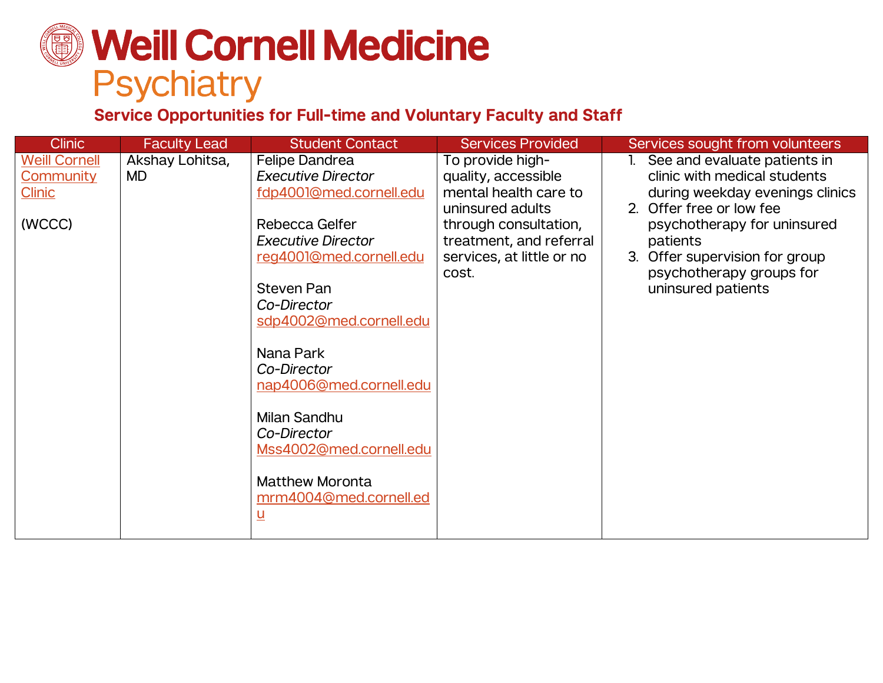# **Weill Cornell Medicine Psychiatry**

### **Service Opportunities for Full-time and Voluntary Faculty and Staff**

| <b>Clinic</b>                                                | <b>Faculty Lead</b>          | <b>Student Contact</b>                                                                                                                                                                                                                                                                                                                                                                                  | <b>Services Provided</b>                                                                                                                                                       | Services sought from volunteers                                                                                                                                                                                                                            |
|--------------------------------------------------------------|------------------------------|---------------------------------------------------------------------------------------------------------------------------------------------------------------------------------------------------------------------------------------------------------------------------------------------------------------------------------------------------------------------------------------------------------|--------------------------------------------------------------------------------------------------------------------------------------------------------------------------------|------------------------------------------------------------------------------------------------------------------------------------------------------------------------------------------------------------------------------------------------------------|
| <b>Weill Cornell</b><br>Community<br><b>Clinic</b><br>(WCCC) | Akshay Lohitsa,<br><b>MD</b> | <b>Felipe Dandrea</b><br><b>Executive Director</b><br>fdp4001@med.cornell.edu<br>Rebecca Gelfer<br><b>Executive Director</b><br>reg4001@med.cornell.edu<br><b>Steven Pan</b><br>Co-Director<br>sdp4002@med.cornell.edu<br>Nana Park<br>Co-Director<br>nap4006@med.cornell.edu<br>Milan Sandhu<br>Co-Director<br>Mss4002@med.cornell.edu<br><b>Matthew Moronta</b><br>mrm4004@med.cornell.ed<br><u>ប</u> | To provide high-<br>quality, accessible<br>mental health care to<br>uninsured adults<br>through consultation,<br>treatment, and referral<br>services, at little or no<br>cost. | See and evaluate patients in<br>clinic with medical students<br>during weekday evenings clinics<br>2. Offer free or low fee<br>psychotherapy for uninsured<br>patients<br>3. Offer supervision for group<br>psychotherapy groups for<br>uninsured patients |
|                                                              |                              |                                                                                                                                                                                                                                                                                                                                                                                                         |                                                                                                                                                                                |                                                                                                                                                                                                                                                            |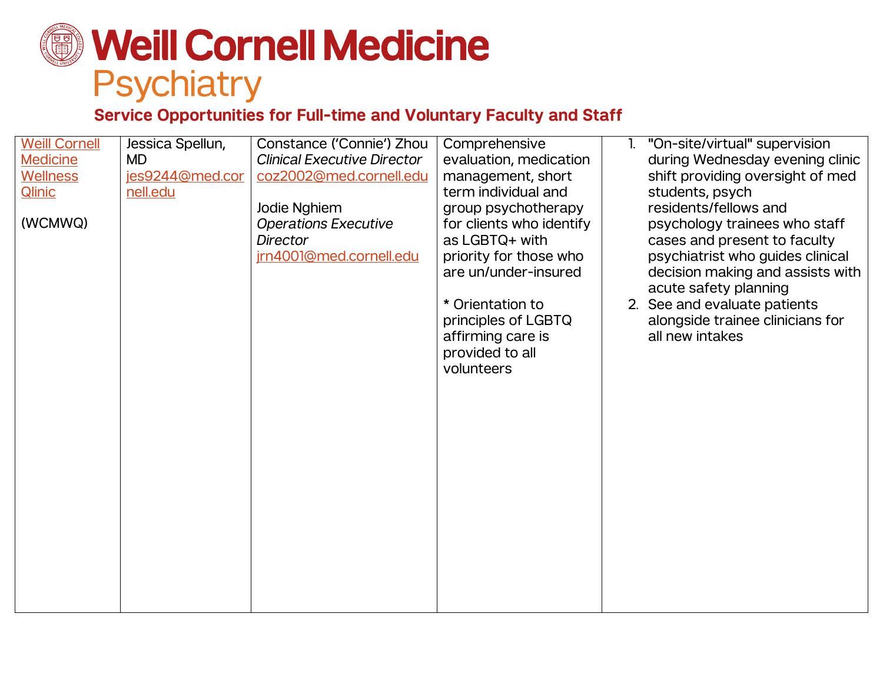# **Weill Cornell Medicine** Psychiatry

#### **Service Opportunities for Full-time and Voluntary Faculty and Staff**

| <b>Weill Cornell</b> | Jessica Spellun, | Constance ('Connie') Zhou          | Comprehensive            | "On-site/virtual" supervision    |
|----------------------|------------------|------------------------------------|--------------------------|----------------------------------|
| <b>Medicine</b>      | <b>MD</b>        | <b>Clinical Executive Director</b> | evaluation, medication   | during Wednesday evening clinic  |
| <b>Wellness</b>      | jes9244@med.cor  | coz2002@med.cornell.edu            | management, short        | shift providing oversight of med |
| <b>Qlinic</b>        | nell.edu         |                                    | term individual and      | students, psych                  |
|                      |                  | Jodie Nghiem                       | group psychotherapy      | residents/fellows and            |
| (WCMWQ)              |                  | <b>Operations Executive</b>        | for clients who identify | psychology trainees who staff    |
|                      |                  | <b>Director</b>                    | as LGBTQ+ with           | cases and present to faculty     |
|                      |                  | jrn4001@med.cornell.edu            | priority for those who   | psychiatrist who guides clinical |
|                      |                  |                                    | are un/under-insured     | decision making and assists with |
|                      |                  |                                    |                          | acute safety planning            |
|                      |                  |                                    | * Orientation to         | 2. See and evaluate patients     |
|                      |                  |                                    | principles of LGBTQ      | alongside trainee clinicians for |
|                      |                  |                                    | affirming care is        | all new intakes                  |
|                      |                  |                                    | provided to all          |                                  |
|                      |                  |                                    | volunteers               |                                  |
|                      |                  |                                    |                          |                                  |
|                      |                  |                                    |                          |                                  |
|                      |                  |                                    |                          |                                  |
|                      |                  |                                    |                          |                                  |
|                      |                  |                                    |                          |                                  |
|                      |                  |                                    |                          |                                  |
|                      |                  |                                    |                          |                                  |
|                      |                  |                                    |                          |                                  |
|                      |                  |                                    |                          |                                  |
|                      |                  |                                    |                          |                                  |
|                      |                  |                                    |                          |                                  |
|                      |                  |                                    |                          |                                  |
|                      |                  |                                    |                          |                                  |
|                      |                  |                                    |                          |                                  |
|                      |                  |                                    |                          |                                  |